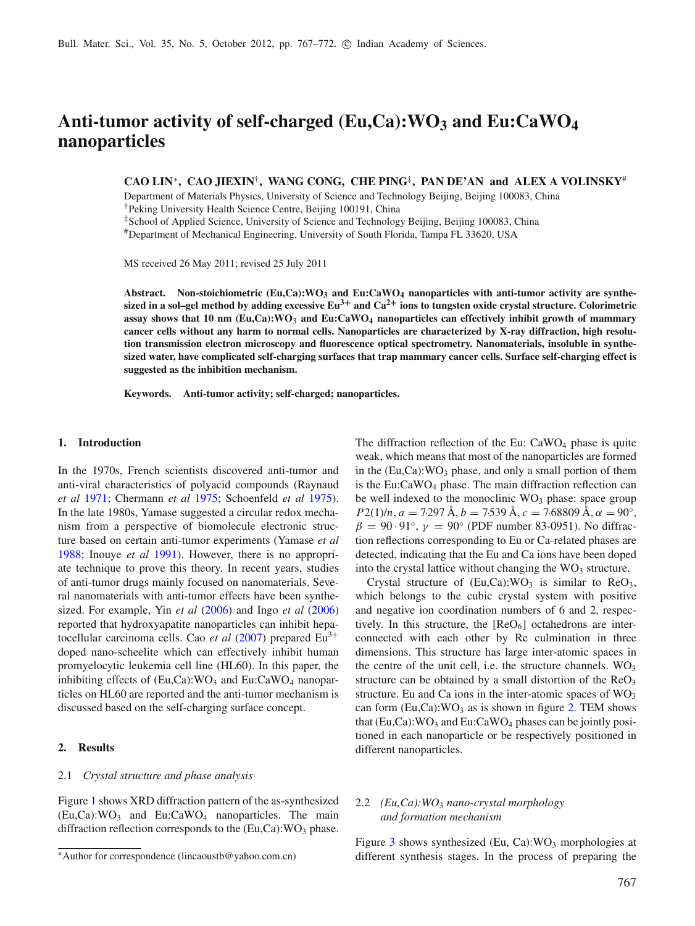# **Anti-tumor activity of self-charged (Eu,Ca):WO3 and Eu:CaWO4 nanoparticles**

### **CAO LIN**<sup>∗</sup>**, CAO JIEXIN**†**, WANG CONG, CHE PING**‡**, PAN DE'AN and ALEX A VOLINSKY**#

Department of Materials Physics, University of Science and Technology Beijing, Beijing 100083, China

†Peking University Health Science Centre, Beijing 100191, China

‡School of Applied Science, University of Science and Technology Beijing, Beijing 100083, China

#Department of Mechanical Engineering, University of South Florida, Tampa FL 33620, USA

MS received 26 May 2011; revised 25 July 2011

Abstract. Non-stoichiometric  $(Eu,Ca)$ : WO<sub>3</sub> and  $Eu:CaWO_4$  nanoparticles with anti-tumor activity are synthe**sized in a sol–gel method by adding excessive Eu3<sup>+</sup> and Ca2<sup>+</sup> ions to tungsten oxide crystal structure. Colorimetric assay shows that 10 nm (Eu,Ca):WO**<sup>3</sup> **and Eu:CaWO4 nanoparticles can effectively inhibit growth of mammary cancer cells without any harm to normal cells. Nanoparticles are characterized by X-ray diffraction, high resolution transmission electron microscopy and fluorescence optical spectrometry. Nanomaterials, insoluble in synthesized water, have complicated self-charging surfaces that trap mammary cancer cells. Surface self-charging effect is suggested as the inhibition mechanism.**

**Keywords. Anti-tumor activity; self-charged; nanoparticles.**

#### **1. Introduction**

In the 1970s, French scientists discovered anti-tumor and anti-viral characteristics of polyacid compounds (Raynaud *et al* [1971](#page-5-0); Chermann *et al* [1975;](#page-5-1) Schoenfeld *et al* [1975\)](#page-5-2). In the late 1980s, Yamase suggested a circular redox mechanism from a perspective of biomolecule electronic structure based on certain anti-tumor experiments (Yamase *et a[l](#page-5-3)* [1988;](#page-5-3) Inouye *et a[l](#page-5-4)* [1991\)](#page-5-4). However, there is no appropriate technique to prove this theory. In recent years, studies of anti-tumor drugs mainly focused on nanomaterials. Several nanomaterials with anti-tumor effects have been synthesized. For example, Yin *et a[l](#page-5-5)* [\(2006\)](#page-5-5) and Ingo *et a[l](#page-5-6)* [\(2006](#page-5-6)) reported that hydroxyapatite nanoparticles can inhibit hepatoce[l](#page-5-7)lular carcinoma cells. Cao *et al* [\(2007\)](#page-5-7) prepared Eu<sup>3+</sup> doped nano-scheelite which can effectively inhibit human promyelocytic leukemia cell line (HL60). In this paper, the inhibiting effects of  $(Eu, Ca):WO_3$  and  $Eu:CaWO_4$  nanoparticles on HL60 are reported and the anti-tumor mechanism is discussed based on the self-charging surface concept.

### **2. Results**

### 2.1 *Crystal structure and phase analysis*

Figure [1](#page-1-0) shows XRD diffraction pattern of the as-synthesized  $(Eu,Ca):WO<sub>3</sub>$  and  $Eu:CaWO<sub>4</sub>$  nanoparticles. The main diffraction reflection corresponds to the  $(Eu,Ca)$ : WO<sub>3</sub> phase. The diffraction reflection of the Eu:  $CaWO<sub>4</sub>$  phase is quite weak, which means that most of the nanoparticles are formed in the  $(Eu,Ca)$ : WO<sub>3</sub> phase, and only a small portion of them is the Eu:CaWO4 phase. The main diffraction reflection can be well indexed to the monoclinic  $WO<sub>3</sub>$  phase: space group  $P2(1)/n$ ,  $a = 7.297 \text{ Å}, b = 7.539 \text{ Å}, c = 7.68809 \text{ Å}, \alpha = 90°$ ,  $\beta = 90.91^{\circ}$ ,  $\gamma = 90^{\circ}$  (PDF number 83-0951). No diffraction reflections corresponding to Eu or Ca-related phases are detected, indicating that the Eu and Ca ions have been doped into the crystal lattice without changing the  $WO<sub>3</sub>$  structure.

Crystal structure of  $(Eu, Ca):WO<sub>3</sub>$  is similar to  $ReO<sub>3</sub>$ , which belongs to the cubic crystal system with positive and negative ion coordination numbers of 6 and 2, respectively. In this structure, the  $[ReO<sub>6</sub>]$  octahedrons are interconnected with each other by Re culmination in three dimensions. This structure has large inter-atomic spaces in the centre of the unit cell, i.e. the structure channels.  $WO_3$ structure can be obtained by a small distortion of the  $\text{ReO}_3$ structure. Eu and Ca ions in the inter-atomic spaces of  $WO_3$ can form  $(Eu,Ca)$ : WO<sub>3</sub> as is shown in figure [2.](#page-1-1) TEM shows that  $(Eu,Ca):WO<sub>3</sub>$  and  $Eu:CaWO<sub>4</sub>$  phases can be jointly positioned in each nanoparticle or be respectively positioned in different nanoparticles.

### 2.2 *(Eu,Ca):WO*<sup>3</sup> *nano-crystal morphology and formation mechanism*

Figure [3](#page-2-0) shows synthesized (Eu, Ca): $WO_3$  morphologies at different synthesis stages. In the process of preparing the

<sup>∗</sup>Author for correspondence (lincaoustb@yahoo.com.cn)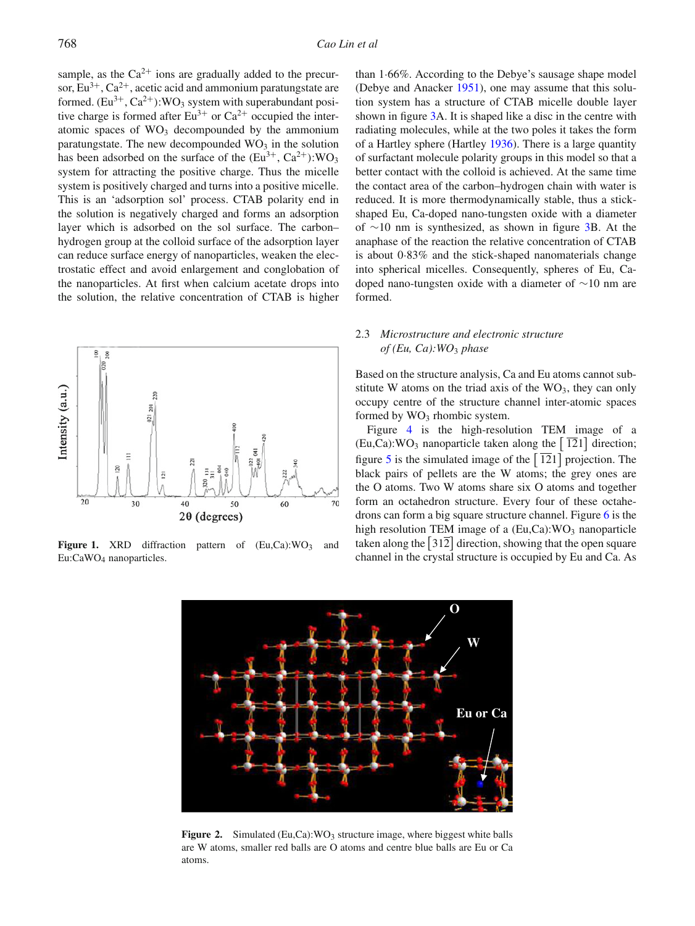sample, as the  $Ca^{2+}$  ions are gradually added to the precursor,  $Eu^{3+}$ ,  $Ca^{2+}$ , acetic acid and ammonium paratungstate are formed.  $(Eu^{3+}, Ca^{2+})$ :WO<sub>3</sub> system with superabundant positive charge is formed after  $Eu^{3+}$  or  $Ca^{2+}$  occupied the interatomic spaces of  $WO<sub>3</sub>$  decompounded by the ammonium paratungstate. The new decompounded  $WO<sub>3</sub>$  in the solution has been adsorbed on the surface of the  $(Eu^{3+}, Ca^{2+})$ :WO<sub>3</sub> system for attracting the positive charge. Thus the micelle system is positively charged and turns into a positive micelle. This is an 'adsorption sol' process. CTAB polarity end in the solution is negatively charged and forms an adsorption layer which is adsorbed on the sol surface. The carbon– hydrogen group at the colloid surface of the adsorption layer can reduce surface energy of nanoparticles, weaken the electrostatic effect and avoid enlargement and conglobation of the nanoparticles. At first when calcium acetate drops into the solution, the relative concentration of CTAB is higher

<span id="page-1-0"></span>

<span id="page-1-1"></span>Figure 1. XRD diffraction pattern of  $(Eu,Ca):WO<sub>3</sub>$  and Eu:CaWO4 nanoparticles.

than 1·66%. According to the Debye's sausage shape model (Debye and Anacke[r](#page-5-8) [1951](#page-5-8)), one may assume that this solution system has a structure of CTAB micelle double layer shown in figure [3A](#page-2-0). It is shaped like a disc in the centre with radiating molecules, while at the two poles it takes the form of a Hartley sphere (Hartle[y](#page-5-9) [1936\)](#page-5-9). There is a large quantity of surfactant molecule polarity groups in this model so that a better contact with the colloid is achieved. At the same time the contact area of the carbon–hydrogen chain with water is reduced. It is more thermodynamically stable, thus a stickshaped Eu, Ca-doped nano-tungsten oxide with a diameter of ∼10 nm is synthesized, as shown in figure [3B](#page-2-0). At the anaphase of the reaction the relative concentration of CTAB is about 0·83% and the stick-shaped nanomaterials change into spherical micelles. Consequently, spheres of Eu, Cadoped nano-tungsten oxide with a diameter of ∼10 nm are formed.

### 2.3 *Microstructure and electronic structure of (Eu, Ca):WO*<sup>3</sup> *phase*

Based on the structure analysis, Ca and Eu atoms cannot substitute W atoms on the triad axis of the  $WO<sub>3</sub>$ , they can only occupy centre of the structure channel inter-atomic spaces formed by  $WO_3$  rhombic system.

Figure [4](#page-2-1) is the high-resolution TEM image of a  $(Eu,Ca)$ : WO<sub>3</sub> nanoparticle taken along the | 121 | direction; figure [5](#page-3-0) is the simulated image of the  $\left[ 121 \right]$  projection. The black pairs of pellets are the W atoms; the grey ones are the O atoms. Two W atoms share six O atoms and together form an octahedron structure. Every four of these octahedrons can form a big square structure channel. Figure [6](#page-3-1) is the high resolution TEM image of a  $(Eu,Ca)$ : WO<sub>3</sub> nanoparticle taken along the  $\left[312\right]$  direction, showing that the open square channel in the crystal structure is occupied by Eu and Ca. As



Figure 2. Simulated (Eu,Ca): WO<sub>3</sub> structure image, where biggest white balls are W atoms, smaller red balls are O atoms and centre blue balls are Eu or Ca atoms.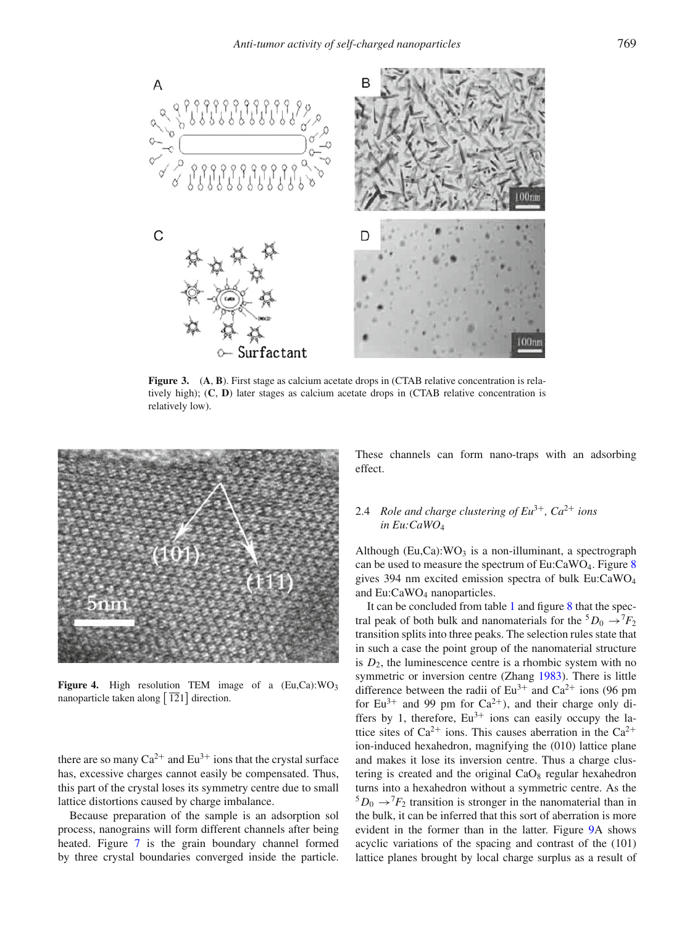<span id="page-2-0"></span>

**Figure 3.** (**A**, **B**). First stage as calcium acetate drops in (CTAB relative concentration is relatively high); (**C**, **D**) later stages as calcium acetate drops in (CTAB relative concentration is relatively low).

<span id="page-2-1"></span>

**Figure 4.** High resolution TEM image of a (Eu,Ca):WO<sub>3</sub> nanoparticle taken along  $\left[ 121 \right]$  direction.

there are so many  $Ca^{2+}$  and  $Eu^{3+}$  ions that the crystal surface has, excessive charges cannot easily be compensated. Thus, this part of the crystal loses its symmetry centre due to small lattice distortions caused by charge imbalance.

Because preparation of the sample is an adsorption sol process, nanograins will form different channels after being heated. Figure [7](#page-3-2) is the grain boundary channel formed by three crystal boundaries converged inside the particle. These channels can form nano-traps with an adsorbing effect.

## 2.4 *Role and charge clustering of Eu*3<sup>+</sup>*, Ca*2<sup>+</sup> *ions in Eu:CaWO*<sup>4</sup>

Although (Eu,Ca): $WO<sub>3</sub>$  is a non-illuminant, a spectrograph can be used to measure the spectrum of  $Eu:CaWO<sub>4</sub>$ . Figure [8](#page-4-0) gives 394 nm excited emission spectra of bulk Eu:CaWO4 and Eu:CaWO<sub>4</sub> nanoparticles.

It can be concluded from table [1](#page-4-1) and figure [8](#page-4-0) that the spectral peak of both bulk and nanomaterials for the  ${}^5D_0 \rightarrow {}^7F_2$ transition splits into three peaks. The selection rules state that in such a case the point group of the nanomaterial structure is  $D_2$ , the luminescence centre is a rhombic system with no symmetric or inversion centre (Zhan[g](#page-5-10) [1983\)](#page-5-10). There is little difference between the radii of  $Eu^{3+}$  and  $Ca^{2+}$  ions (96 pm for  $Eu^{3+}$  and 99 pm for  $Ca^{2+}$ ), and their charge only differs by 1, therefore,  $Eu^{3+}$  ions can easily occupy the lattice sites of  $Ca^{2+}$  ions. This causes aberration in the  $Ca^{2+}$ ion-induced hexahedron, magnifying the (010) lattice plane and makes it lose its inversion centre. Thus a charge clustering is created and the original  $CaO<sub>8</sub>$  regular hexahedron turns into a hexahedron without a symmetric centre. As the  ${}^5D_0 \rightarrow {}^7F_2$  transition is stronger in the nanomaterial than in the bulk, it can be inferred that this sort of aberration is more evident in the former than in the latter. Figure [9A](#page-4-2) shows acyclic variations of the spacing and contrast of the (101) lattice planes brought by local charge surplus as a result of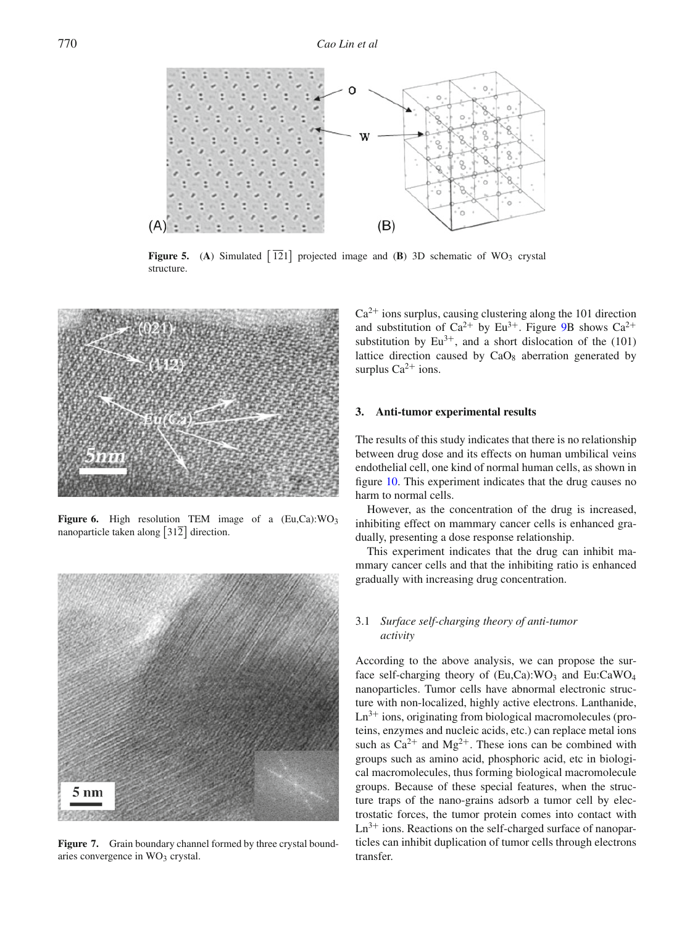<span id="page-3-0"></span>

**Figure 5.** (A) Simulated  $\begin{bmatrix} 121 \end{bmatrix}$  projected image and (**B**) 3D schematic of WO<sub>3</sub> crystal structure.

<span id="page-3-1"></span>

Figure 6. High resolution TEM image of a (Eu,Ca):WO<sub>3</sub> nanoparticle taken along  $|312|$  direction.

<span id="page-3-2"></span>

Figure 7. Grain boundary channel formed by three crystal boundaries convergence in  $WO<sub>3</sub>$  crystal.

 $Ca<sup>2+</sup>$  ions surplus, causing clustering along the 101 direction and substitution of  $Ca^{2+}$  by Eu<sup>3+</sup>. Figure [9B](#page-4-2) shows  $Ca^{2+}$ substitution by  $Eu^{3+}$ , and a short dislocation of the (101) lattice direction caused by  $CaO_8$  aberration generated by surplus  $Ca^{2+}$  ions.

### **3. Anti-tumor experimental results**

The results of this study indicates that there is no relationship between drug dose and its effects on human umbilical veins endothelial cell, one kind of normal human cells, as shown in figure [10.](#page-5-11) This experiment indicates that the drug causes no harm to normal cells.

However, as the concentration of the drug is increased, inhibiting effect on mammary cancer cells is enhanced gradually, presenting a dose response relationship.

This experiment indicates that the drug can inhibit mammary cancer cells and that the inhibiting ratio is enhanced gradually with increasing drug concentration.

### 3.1 *Surface self-charging theory of anti-tumor activity*

According to the above analysis, we can propose the surface self-charging theory of  $(Eu,Ca)$ :WO<sub>3</sub> and Eu:CaWO<sub>4</sub> nanoparticles. Tumor cells have abnormal electronic structure with non-localized, highly active electrons. Lanthanide,  $Ln^{3+}$  ions, originating from biological macromolecules (proteins, enzymes and nucleic acids, etc.) can replace metal ions such as  $Ca^{2+}$  and  $Mg^{2+}$ . These ions can be combined with groups such as amino acid, phosphoric acid, etc in biological macromolecules, thus forming biological macromolecule groups. Because of these special features, when the structure traps of the nano-grains adsorb a tumor cell by electrostatic forces, the tumor protein comes into contact with  $Ln^{3+}$  ions. Reactions on the self-charged surface of nanoparticles can inhibit duplication of tumor cells through electrons transfer.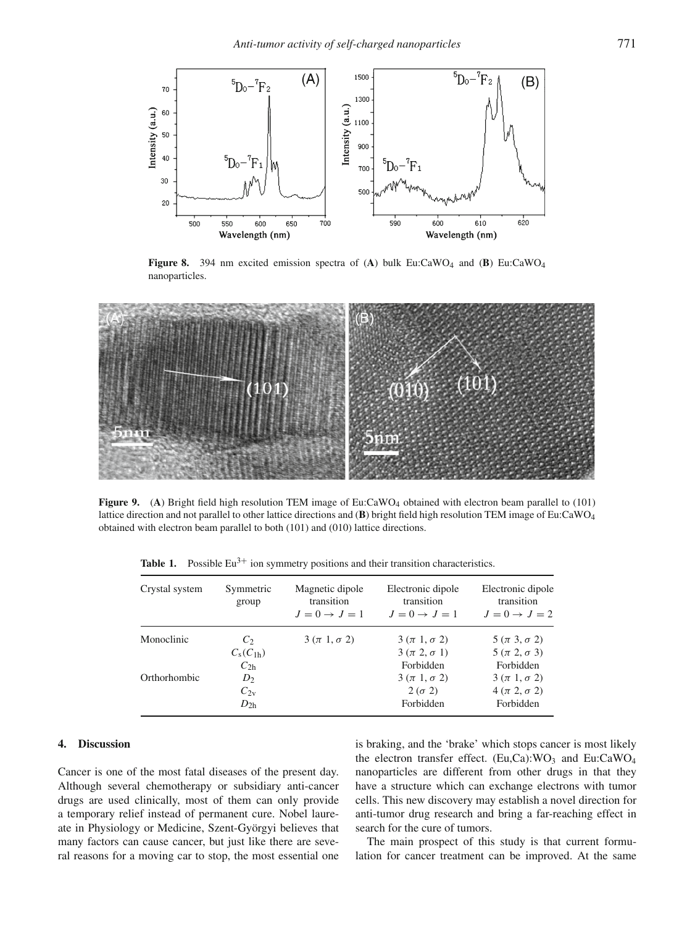<span id="page-4-0"></span>

**Figure 8.** 394 nm excited emission spectra of (A) bulk Eu:CaWO<sub>4</sub> and (B) Eu:CaWO<sub>4</sub> nanoparticles.

<span id="page-4-2"></span>

<span id="page-4-1"></span>**Figure 9.** (A) Bright field high resolution TEM image of Eu:CaWO<sub>4</sub> obtained with electron beam parallel to (101) lattice direction and not parallel to other lattice directions and (**B**) bright field high resolution TEM image of Eu:CaWO4 obtained with electron beam parallel to both (101) and (010) lattice directions.

| Crystal system | Symmetric<br>group        | Magnetic dipole<br>transition<br>$J=0 \rightarrow J=1$ | Electronic dipole<br>transition<br>$J=0 \rightarrow J=1$ | Electronic dipole<br>transition<br>$J=0 \rightarrow J=2$ |
|----------------|---------------------------|--------------------------------------------------------|----------------------------------------------------------|----------------------------------------------------------|
| Monoclinic     | C <sub>2</sub>            | $3(\pi 1, \sigma 2)$                                   | $3(\pi 1, \sigma 2)$                                     | $5(\pi 3, \sigma 2)$                                     |
|                | $C_{\rm s}(C_{1{\rm h}})$ |                                                        | $3(\pi 2, \sigma 1)$                                     | $5(\pi 2, \sigma 3)$                                     |
|                | $C_{2h}$                  |                                                        | Forbidden                                                | Forbidden                                                |
| Orthorhombic   | $D_2$                     |                                                        | $3(\pi 1, \sigma 2)$                                     | $3(\pi 1, \sigma 2)$                                     |
|                | $C_{2v}$                  |                                                        | $2(\sigma 2)$                                            | $4(\pi 2, \sigma 2)$                                     |
|                | $D_{2h}$                  |                                                        | Forbidden                                                | Forbidden                                                |

**Table 1.** Possible  $Eu^{3+}$  ion symmetry positions and their transition characteristics.

### **4. Discussion**

Cancer is one of the most fatal diseases of the present day. Although several chemotherapy or subsidiary anti-cancer drugs are used clinically, most of them can only provide a temporary relief instead of permanent cure. Nobel laureate in Physiology or Medicine, Szent-Györgyi believes that many factors can cause cancer, but just like there are several reasons for a moving car to stop, the most essential one is braking, and the 'brake' which stops cancer is most likely the electron transfer effect. (Eu,Ca): $WO_3$  and Eu:CaWO<sub>4</sub> nanoparticles are different from other drugs in that they have a structure which can exchange electrons with tumor cells. This new discovery may establish a novel direction for anti-tumor drug research and bring a far-reaching effect in search for the cure of tumors.

The main prospect of this study is that current formulation for cancer treatment can be improved. At the same